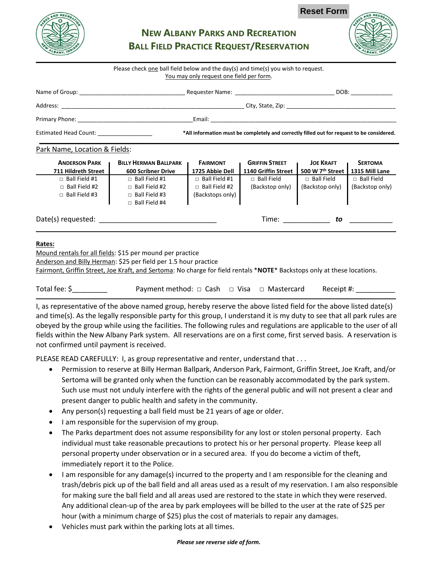

# **Reset Form**

| ກ | ND RECREATION      |
|---|--------------------|
|   |                    |
|   |                    |
|   | ANY, INDIA<br>ALB. |

# **NEW ALBANY PARKS AND RECREATION BALL FIELD PRACTICE REQUEST/RESERVATION**

#### Please check one ball field below and the day(s) and time(s) you wish to request. You may only request one field per form.

|                                                                                                                                                                                                                                    | Requester Name: Names                                                                      | DOB: |
|------------------------------------------------------------------------------------------------------------------------------------------------------------------------------------------------------------------------------------|--------------------------------------------------------------------------------------------|------|
| Address:                                                                                                                                                                                                                           |                                                                                            |      |
| <b>Primary Phone:</b> The Contract of the Contract of the Contract of the Contract of the Contract of the Contract of the Contract of the Contract of the Contract of the Contract of the Contract of the Contract of the Contract | Email:                                                                                     |      |
| <b>Estimated Head Count:</b>                                                                                                                                                                                                       | *All information must be completely and correctly filled out for request to be considered. |      |

## Park Name, Location & Fields:

| <b>ANDERSON PARK</b><br><b>711 Hildreth Street</b>                   | <b>BILLY HERMAN BALLPARK</b><br><b>600 Scribner Drive</b>                                    | <b>FAIRMONT</b><br>1725 Abbie Dell                             | <b>GRIFFIN STREET</b><br>1140 Griffin Street | <b>JOE KRAFT</b><br>500 W 7 <sup>th</sup> Street | <b>SERTOMA</b><br>1315 Mill Lane     |
|----------------------------------------------------------------------|----------------------------------------------------------------------------------------------|----------------------------------------------------------------|----------------------------------------------|--------------------------------------------------|--------------------------------------|
| $\Box$ Ball Field #1<br>$\Box$ Ball Field #2<br>$\Box$ Ball Field #3 | $\Box$ Ball Field #1<br>$\Box$ Ball Field #2<br>$\Box$ Ball Field #3<br>$\Box$ Ball Field #4 | Ball Field #1<br>П.<br>Ball Field #2<br>П.<br>(Backstops only) | $\Box$ Ball Field<br>(Backstop only)         | $\Box$ Ball Field<br>(Backstop only)             | $\Box$ Ball Field<br>(Backstop only) |
| Date(s) requested:                                                   |                                                                                              |                                                                | Time:                                        | to                                               |                                      |

## **Rates:**

Mound rentals for all fields: \$15 per mound per practice Anderson and Billy Herman: \$25 per field per 1.5 hour practice Fairmont, Griffin Street, Joe Kraft, and Sertoma: No charge for field rentals \***NOTE**\* Backstops only at these locations.

| Total fee: \$ | Payment method: $\Box$ Cash $\Box$ Visa $\Box$ Mastercard |  |  | Receipt #: |
|---------------|-----------------------------------------------------------|--|--|------------|
|---------------|-----------------------------------------------------------|--|--|------------|

I, as representative of the above named group, hereby reserve the above listed field for the above listed date(s) and time(s). As the legally responsible party for this group, I understand it is my duty to see that all park rules are obeyed by the group while using the facilities. The following rules and regulations are applicable to the user of all fields within the New Albany Park system. All reservations are on a first come, first served basis. A reservation is not confirmed until payment is received.

PLEASE READ CAREFULLY: I, as group representative and renter, understand that . . .

- Permission to reserve at Billy Herman Ballpark, Anderson Park, Fairmont, Griffin Street, Joe Kraft, and/or Sertoma will be granted only when the function can be reasonably accommodated by the park system. Such use must not unduly interfere with the rights of the general public and will not present a clear and present danger to public health and safety in the community.
- Any person(s) requesting a ball field must be 21 years of age or older.
- I am responsible for the supervision of my group.
- The Parks department does not assume responsibility for any lost or stolen personal property. Each individual must take reasonable precautions to protect his or her personal property. Please keep all personal property under observation or in a secured area. If you do become a victim of theft, immediately report it to the Police.
- I am responsible for any damage(s) incurred to the property and I am responsible for the cleaning and trash/debris pick up of the ball field and all areas used as a result of my reservation. I am also responsible for making sure the ball field and all areas used are restored to the state in which they were reserved. Any additional clean-up of the area by park employees will be billed to the user at the rate of \$25 per hour (with a minimum charge of \$25) plus the cost of materials to repair any damages.
- Vehicles must park within the parking lots at all times.